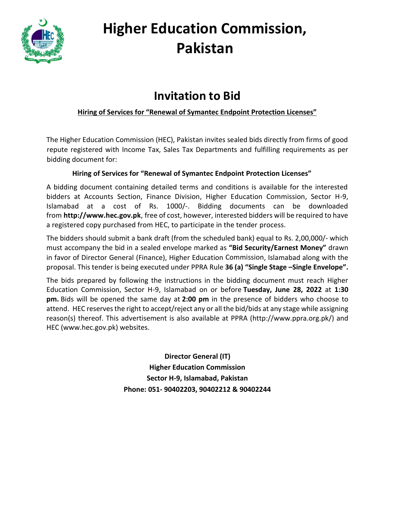

# **Higher Education Commission, Pakistan**

## **Invitation to Bid**

#### **Hiring of Services for "Renewal of Symantec Endpoint Protection Licenses"**

The Higher Education Commission (HEC), Pakistan invites sealed bids directly from firms of good repute registered with Income Tax, Sales Tax Departments and fulfilling requirements as per bidding document for:

#### **Hiring of Services for "Renewal of Symantec Endpoint Protection Licenses"**

A bidding document containing detailed terms and conditions is available for the interested bidders at Accounts Section, Finance Division, Higher Education Commission, Sector H-9, Islamabad at a cost of Rs. 1000/-. Bidding documents can be downloaded from **[http://www.hec.gov.pk](http://www.hec.gov.pk/)**, free of cost, however, interested bidders will be required to have a registered copy purchased from HEC, to participate in the tender process.

The bidders should submit a bank draft (from the scheduled bank) equal to Rs. 2,00,000/- which must accompany the bid in a sealed envelope marked as **"Bid Security/Earnest Money"** drawn in favor of Director General (Finance), Higher Education Commission, Islamabad along with the proposal. This tender is being executed under PPRA Rule **36 (a) "Single Stage –Single Envelope".**

The bids prepared by following the instructions in the bidding document must reach Higher Education Commission, Sector H-9, Islamabad on or before **Tuesday, June 28, 2022** at **1:30 pm.** Bids will be opened the same day at **2:00 pm** in the presence of bidders who choose to attend. HEC reserves the right to accept/reject any or all the bid/bids at any stage while assigning reason(s) thereof. This advertisement is also available at PPRA [\(http://www.ppra.org.pk/\)](http://www.ppra.org.pk/) and HEC (www.hec.gov.pk) websites.

> **Director General (IT) Higher Education Commission Sector H-9, Islamabad, Pakistan Phone: 051- 90402203, 90402212 & 90402244**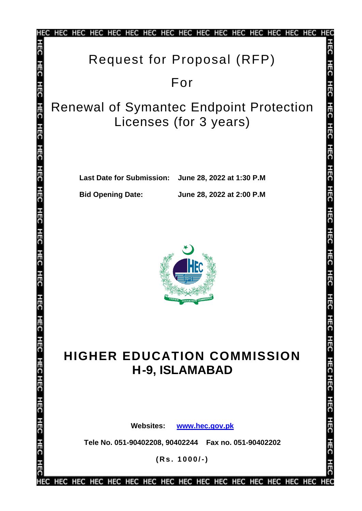|                                | HEC HEC HEC HEC<br>HEC HEC HEC HEC HEC<br>HEC HEC<br>HEG HEG                                                           |
|--------------------------------|------------------------------------------------------------------------------------------------------------------------|
|                                | Request for Proposal (RFP)                                                                                             |
|                                | For                                                                                                                    |
| 등                              | 퓨<br><b>Renewal of Symantec Endpoint Protection</b><br>Licenses (for 3 years)                                          |
| 픎<br>玉<br>픎                    | <b>Last Date for Submission:</b><br>June 28, 2022 at 1:30 P.M<br><b>Bid Opening Date:</b><br>June 28, 2022 at 2:00 P.M |
| HEC<br>8                       |                                                                                                                        |
| 玉<br><b>HEC HECHEC HEC HEC</b> | <b>HIGHER EDUCATION COMMISSION</b><br>내 그는<br><b>H-9, ISLAMABAD</b>                                                    |
|                                | <b>Websites:</b><br>www.hec.gov.pk                                                                                     |
| 픎                              | Tele No. 051-90402208, 90402244    Fax no. 051-90402202                                                                |
| Ē                              | $(Rs. 1000/-)$                                                                                                         |
|                                |                                                                                                                        |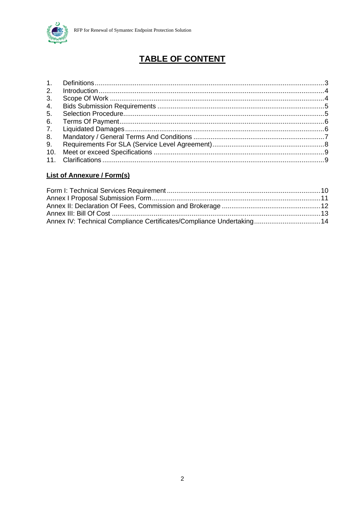

## **TABLE OF CONTENT**

| 3.  |  |
|-----|--|
| 4.  |  |
| 5.  |  |
| 6.  |  |
|     |  |
| 8.  |  |
|     |  |
| 10. |  |
|     |  |

#### **List of Annexure / Form(s)**

| Annex IV: Technical Compliance Certificates/Compliance Undertaking14 |  |
|----------------------------------------------------------------------|--|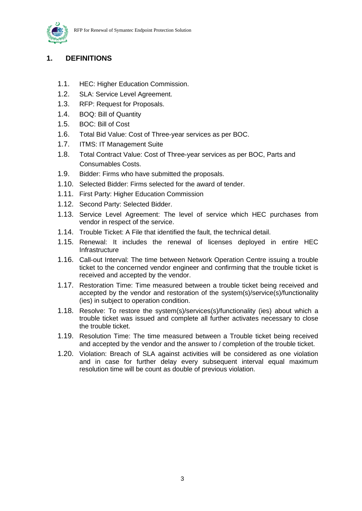

#### **1. DEFINITIONS**

- 1.1. HEC: Higher Education Commission.
- 1.2. SLA: Service Level Agreement.
- 1.3. RFP: Request for Proposals.
- 1.4. BOQ: Bill of Quantity
- 1.5. BOC: Bill of Cost
- 1.6. Total Bid Value: Cost of Three-year services as per BOC.
- 1.7. ITMS: IT Management Suite
- 1.8. Total Contract Value: Cost of Three-year services as per BOC, Parts and Consumables Costs.
- 1.9. Bidder: Firms who have submitted the proposals.
- 1.10. Selected Bidder: Firms selected for the award of tender.
- 1.11. First Party: Higher Education Commission
- 1.12. Second Party: Selected Bidder.
- 1.13. Service Level Agreement: The level of service which HEC purchases from vendor in respect of the service.
- 1.14. Trouble Ticket: A File that identified the fault, the technical detail.
- 1.15. Renewal: It includes the renewal of licenses deployed in entire HEC Infrastructure
- 1.16. Call-out Interval: The time between Network Operation Centre issuing a trouble ticket to the concerned vendor engineer and confirming that the trouble ticket is received and accepted by the vendor.
- 1.17. Restoration Time: Time measured between a trouble ticket being received and accepted by the vendor and restoration of the system(s)/service(s)/functionality (ies) in subject to operation condition.
- 1.18. Resolve: To restore the system(s)/services(s)/functionality (ies) about which a trouble ticket was issued and complete all further activates necessary to close the trouble ticket.
- 1.19. Resolution Time: The time measured between a Trouble ticket being received and accepted by the vendor and the answer to / completion of the trouble ticket.
- 1.20. Violation: Breach of SLA against activities will be considered as one violation and in case for further delay every subsequent interval equal maximum resolution time will be count as double of previous violation.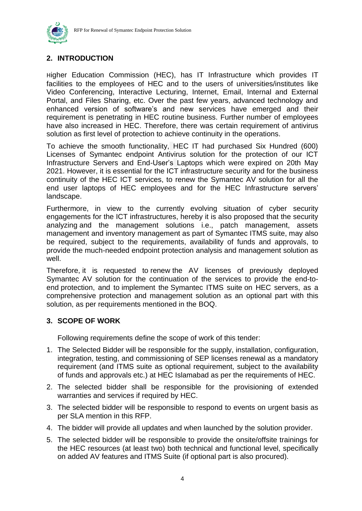

#### **2. INTRODUCTION**

Higher Education Commission (HEC), has IT Infrastructure which provides IT facilities to the employees of HEC and to the users of universities/institutes like Video Conferencing, Interactive Lecturing, Internet, Email, Internal and External Portal, and Files Sharing, etc. Over the past few years, advanced technology and enhanced version of software's and new services have emerged and their requirement is penetrating in HEC routine business. Further number of employees have also increased in HEC. Therefore, there was certain requirement of antivirus solution as first level of protection to achieve continuity in the operations.

To achieve the smooth functionality, HEC IT had purchased Six Hundred (600) Licenses of Symantec endpoint Antivirus solution for the protection of our ICT Infrastructure Servers and End-User's Laptops which were expired on 20th May 2021. However, it is essential for the ICT infrastructure security and for the business continuity of the HEC ICT services, to renew the Symantec AV solution for all the end user laptops of HEC employees and for the HEC Infrastructure servers' landscape.

Furthermore, in view to the currently evolving situation of cyber security engagements for the ICT infrastructures, hereby it is also proposed that the security analyzing and the management solutions i.e., patch management, assets management and inventory management as part of Symantec ITMS suite, may also be required, subject to the requirements, availability of funds and approvals, to provide the much-needed endpoint protection analysis and management solution as well.

Therefore, it is requested to renew the AV licenses of previously deployed Symantec AV solution for the continuation of the services to provide the end-toend protection, and to implement the Symantec ITMS suite on HEC servers, as a comprehensive protection and management solution as an optional part with this solution, as per requirements mentioned in the BOQ.

#### **3. SCOPE OF WORK**

Following requirements define the scope of work of this tender:

- 1. The Selected Bidder will be responsible for the supply, installation, configuration, integration, testing, and commissioning of SEP licenses renewal as a mandatory requirement (and ITMS suite as optional requirement, subject to the availability of funds and approvals etc.) at HEC Islamabad as per the requirements of HEC.
- 2. The selected bidder shall be responsible for the provisioning of extended warranties and services if required by HEC.
- 3. The selected bidder will be responsible to respond to events on urgent basis as per SLA mention in this RFP.
- 4. The bidder will provide all updates and when launched by the solution provider.
- 5. The selected bidder will be responsible to provide the onsite/offsite trainings for the HEC resources (at least two) both technical and functional level, specifically on added AV features and ITMS Suite (if optional part is also procured).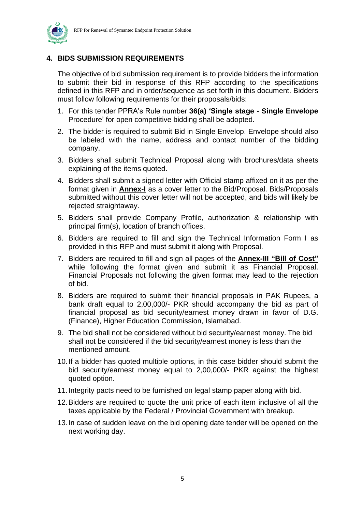

#### **4. BIDS SUBMISSION REQUIREMENTS**

The objective of bid submission requirement is to provide bidders the information to submit their bid in response of this RFP according to the specifications defined in this RFP and in order/sequence as set forth in this document. Bidders must follow following requirements for their proposals/bids:

- 1. For this tender PPRA's Rule number **36(a) 'Single stage - Single Envelope** Procedure' for open competitive bidding shall be adopted.
- 2. The bidder is required to submit Bid in Single Envelop. Envelope should also be labeled with the name, address and contact number of the bidding company.
- 3. Bidders shall submit Technical Proposal along with brochures/data sheets explaining of the items quoted.
- 4. Bidders shall submit a signed letter with Official stamp affixed on it as per the format given in **Annex-I** as a cover letter to the Bid/Proposal. Bids/Proposals submitted without this cover letter will not be accepted, and bids will likely be rejected straightaway.
- 5. Bidders shall provide Company Profile, authorization & relationship with principal firm(s), location of branch offices.
- 6. Bidders are required to fill and sign the Technical Information Form I as provided in this RFP and must submit it along with Proposal.
- 7. Bidders are required to fill and sign all pages of the **Annex-III "Bill of Cost"** while following the format given and submit it as Financial Proposal. Financial Proposals not following the given format may lead to the rejection of bid.
- 8. Bidders are required to submit their financial proposals in PAK Rupees, a bank draft equal to 2,00,000/- PKR should accompany the bid as part of financial proposal as bid security/earnest money drawn in favor of D.G. (Finance), Higher Education Commission, Islamabad.
- 9. The bid shall not be considered without bid security/earnest money. The bid shall not be considered if the bid security/earnest money is less than the mentioned amount.
- 10.If a bidder has quoted multiple options, in this case bidder should submit the bid security/earnest money equal to 2,00,000/- PKR against the highest quoted option.
- 11.Integrity pacts need to be furnished on legal stamp paper along with bid.
- 12.Bidders are required to quote the unit price of each item inclusive of all the taxes applicable by the Federal / Provincial Government with breakup.
- 13.In case of sudden leave on the bid opening date tender will be opened on the next working day.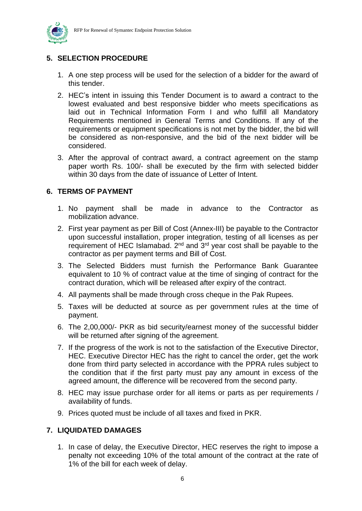

### **5. SELECTION PROCEDURE**

- 1. A one step process will be used for the selection of a bidder for the award of this tender.
- 2. HEC's intent in issuing this Tender Document is to award a contract to the lowest evaluated and best responsive bidder who meets specifications as laid out in Technical Information Form I and who fulfill all Mandatory Requirements mentioned in General Terms and Conditions. If any of the requirements or equipment specifications is not met by the bidder, the bid will be considered as non-responsive, and the bid of the next bidder will be considered.
- 3. After the approval of contract award, a contract agreement on the stamp paper worth Rs. 100/- shall be executed by the firm with selected bidder within 30 days from the date of issuance of Letter of Intent.

#### **6. TERMS OF PAYMENT**

- 1. No payment shall be made in advance to the Contractor as mobilization advance.
- 2. First year payment as per Bill of Cost (Annex-III) be payable to the Contractor upon successful installation, proper integration, testing of all licenses as per requirement of HEC Islamabad.  $2^{nd}$  and  $3^{rd}$  year cost shall be payable to the contractor as per payment terms and Bill of Cost.
- 3. The Selected Bidders must furnish the Performance Bank Guarantee equivalent to 10 % of contract value at the time of singing of contract for the contract duration, which will be released after expiry of the contract.
- 4. All payments shall be made through cross cheque in the Pak Rupees.
- 5. Taxes will be deducted at source as per government rules at the time of payment.
- 6. The 2,00,000/- PKR as bid security/earnest money of the successful bidder will be returned after signing of the agreement.
- 7. If the progress of the work is not to the satisfaction of the Executive Director, HEC. Executive Director HEC has the right to cancel the order, get the work done from third party selected in accordance with the PPRA rules subject to the condition that if the first party must pay any amount in excess of the agreed amount, the difference will be recovered from the second party.
- 8. HEC may issue purchase order for all items or parts as per requirements / availability of funds.
- 9. Prices quoted must be include of all taxes and fixed in PKR.

#### **7. LIQUIDATED DAMAGES**

1. In case of delay, the Executive Director, HEC reserves the right to impose a penalty not exceeding 10% of the total amount of the contract at the rate of 1% of the bill for each week of delay.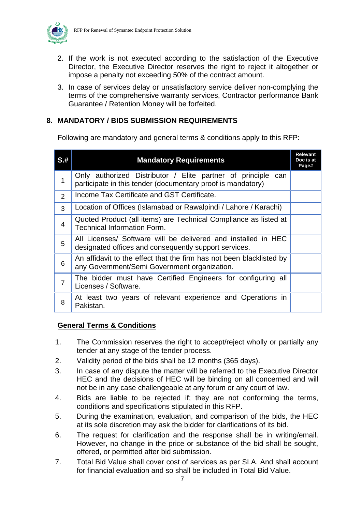

- 2. If the work is not executed according to the satisfaction of the Executive Director, the Executive Director reserves the right to reject it altogether or impose a penalty not exceeding 50% of the contract amount.
- 3. In case of services delay or unsatisfactory service deliver non-complying the terms of the comprehensive warranty services, Contractor performance Bank Guarantee / Retention Money will be forfeited.

#### **8. MANDATORY / BIDS SUBMISSION REQUIREMENTS**

Following are mandatory and general terms & conditions apply to this RFP:

| $S1$ #         | <b>Mandatory Requirements</b>                                                                                                  |  |  |  |  |
|----------------|--------------------------------------------------------------------------------------------------------------------------------|--|--|--|--|
| 1              | Only authorized Distributor / Elite partner of principle<br>can<br>participate in this tender (documentary proof is mandatory) |  |  |  |  |
| $\overline{2}$ | Income Tax Certificate and GST Certificate.                                                                                    |  |  |  |  |
| 3              | Location of Offices (Islamabad or Rawalpindi / Lahore / Karachi)                                                               |  |  |  |  |
| 4              | Quoted Product (all items) are Technical Compliance as listed at<br><b>Technical Information Form.</b>                         |  |  |  |  |
| 5              | All Licenses/ Software will be delivered and installed in HEC<br>designated offices and consequently support services.         |  |  |  |  |
| 6              | An affidavit to the effect that the firm has not been blacklisted by<br>any Government/Semi Government organization.           |  |  |  |  |
| $\overline{7}$ | The bidder must have Certified Engineers for configuring all<br>Licenses / Software.                                           |  |  |  |  |
| 8              | At least two years of relevant experience and Operations in<br>Pakistan.                                                       |  |  |  |  |

#### **General Terms & Conditions**

- 1. The Commission reserves the right to accept/reject wholly or partially any tender at any stage of the tender process.
- 2. Validity period of the bids shall be 12 months (365 days).
- 3. In case of any dispute the matter will be referred to the Executive Director HEC and the decisions of HEC will be binding on all concerned and will not be in any case challengeable at any forum or any court of law.
- 4. Bids are liable to be rejected if; they are not conforming the terms, conditions and specifications stipulated in this RFP.
- 5. During the examination, evaluation, and comparison of the bids, the HEC at its sole discretion may ask the bidder for clarifications of its bid.
- 6. The request for clarification and the response shall be in writing/email. However, no change in the price or substance of the bid shall be sought, offered, or permitted after bid submission.
- 7. Total Bid Value shall cover cost of services as per SLA. And shall account for financial evaluation and so shall be included in Total Bid Value.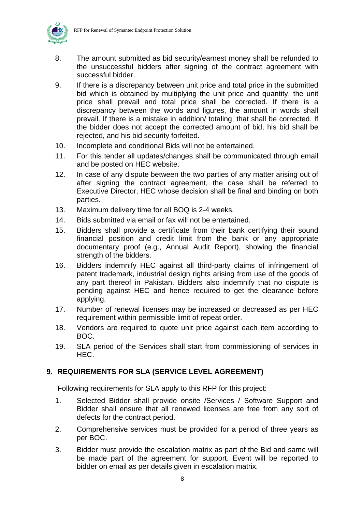

- 8. The amount submitted as bid security/earnest money shall be refunded to the unsuccessful bidders after signing of the contract agreement with successful bidder.
- 9. If there is a discrepancy between unit price and total price in the submitted bid which is obtained by multiplying the unit price and quantity, the unit price shall prevail and total price shall be corrected. If there is a discrepancy between the words and figures, the amount in words shall prevail. If there is a mistake in addition/ totaling, that shall be corrected. If the bidder does not accept the corrected amount of bid, his bid shall be rejected, and his bid security forfeited.
- 10. Incomplete and conditional Bids will not be entertained.
- 11. For this tender all updates/changes shall be communicated through email and be posted on HEC website.
- 12. In case of any dispute between the two parties of any matter arising out of after signing the contract agreement, the case shall be referred to Executive Director, HEC whose decision shall be final and binding on both parties.
- 13. Maximum delivery time for all BOQ is 2-4 weeks.
- 14. Bids submitted via email or fax will not be entertained.
- 15. Bidders shall provide a certificate from their bank certifying their sound financial position and credit limit from the bank or any appropriate documentary proof (e.g., Annual Audit Report), showing the financial strength of the bidders.
- 16. Bidders indemnify HEC against all third-party claims of infringement of patent trademark, industrial design rights arising from use of the goods of any part thereof in Pakistan. Bidders also indemnify that no dispute is pending against HEC and hence required to get the clearance before applying.
- 17. Number of renewal licenses may be increased or decreased as per HEC requirement within permissible limit of repeat order.
- 18. Vendors are required to quote unit price against each item according to BOC.
- 19. SLA period of the Services shall start from commissioning of services in HEC.

#### **9. REQUIREMENTS FOR SLA (SERVICE LEVEL AGREEMENT)**

Following requirements for SLA apply to this RFP for this project:

- 1. Selected Bidder shall provide onsite /Services / Software Support and Bidder shall ensure that all renewed licenses are free from any sort of defects for the contract period.
- 2. Comprehensive services must be provided for a period of three years as per BOC.
- 3. Bidder must provide the escalation matrix as part of the Bid and same will be made part of the agreement for support. Event will be reported to bidder on email as per details given in escalation matrix.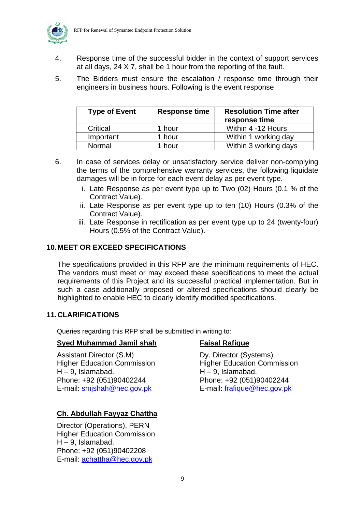

- 4. Response time of the successful bidder in the context of support services at all days, 24 X 7, shall be 1 hour from the reporting of the fault.
- 5. The Bidders must ensure the escalation / response time through their engineers in business hours. Following is the event response

| <b>Type of Event</b> | <b>Response time</b> | <b>Resolution Time after</b><br>response time |
|----------------------|----------------------|-----------------------------------------------|
| Critical             | 1 hour               | Within 4 -12 Hours                            |
| Important            | 1 hour               | Within 1 working day                          |
| Normal               | 1 hour               | Within 3 working days                         |

- 6. In case of services delay or unsatisfactory service deliver non-complying the terms of the comprehensive warranty services, the following liquidate damages will be in force for each event delay as per event type.
	- i. Late Response as per event type up to Two (02) Hours (0.1 % of the Contract Value).
	- ii. Late Response as per event type up to ten (10) Hours (0.3% of the Contract Value).
	- iii. Late Response in rectification as per event type up to 24 (twenty-four) Hours (0.5% of the Contract Value).

#### **10.MEET OR EXCEED SPECIFICATIONS**

The specifications provided in this RFP are the minimum requirements of HEC. The vendors must meet or may exceed these specifications to meet the actual requirements of this Project and its successful practical implementation. But in such a case additionally proposed or altered specifications should clearly be highlighted to enable HEC to clearly identify modified specifications.

#### **11.CLARIFICATIONS**

Queries regarding this RFP shall be submitted in writing to:

#### **Syed Muhammad Jamil shah Faisal Rafique**

Assistant Director (S.M) Dy. Director (Systems) Higher Education Commission **Higher Education Commission**  $H - 9$ , Islamabad.  $H - 9$ , Islamabad. Phone: +92 (051)90402244 Phone: +92 (051)90402244 E-mail: [smjshah@hec.gov.pk](mailto:smjshah@hec.gov.pk) E-mail: [frafique@hec.gov.pk](mailto:frafique@hec.gov.pk)

#### **Ch. Abdullah Fayyaz Chattha**

Director (Operations), PERN Higher Education Commission H – 9, Islamabad. Phone: +92 (051)90402208 E-mail: [achattha@hec.gov.pk](mailto:achattha@hec.gov.pk)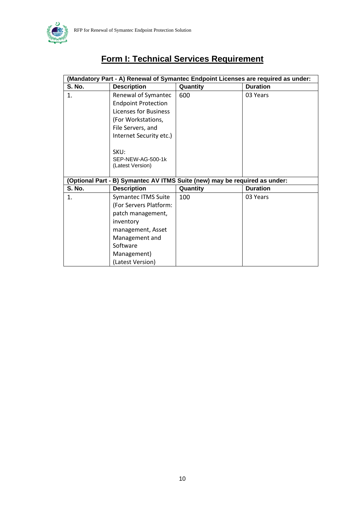

## **Form I: Technical Services Requirement**

| (Mandatory Part - A) Renewal of Symantec Endpoint Licenses are required as under: |                                                                            |          |                 |  |  |  |
|-----------------------------------------------------------------------------------|----------------------------------------------------------------------------|----------|-----------------|--|--|--|
| <b>S. No.</b>                                                                     | <b>Description</b>                                                         | Quantity | <b>Duration</b> |  |  |  |
| 1.                                                                                | Renewal of Symantec                                                        | 600      | 03 Years        |  |  |  |
|                                                                                   | <b>Endpoint Protection</b>                                                 |          |                 |  |  |  |
|                                                                                   | Licenses for Business                                                      |          |                 |  |  |  |
|                                                                                   | (For Workstations,                                                         |          |                 |  |  |  |
|                                                                                   | File Servers, and                                                          |          |                 |  |  |  |
|                                                                                   | Internet Security etc.)                                                    |          |                 |  |  |  |
|                                                                                   |                                                                            |          |                 |  |  |  |
|                                                                                   | SKU:                                                                       |          |                 |  |  |  |
|                                                                                   | SEP-NEW-AG-500-1k                                                          |          |                 |  |  |  |
|                                                                                   | (Latest Version)                                                           |          |                 |  |  |  |
|                                                                                   | (Optional Part - B) Symantec AV ITMS Suite (new) may be required as under: |          |                 |  |  |  |
| <b>S. No.</b>                                                                     | <b>Description</b>                                                         | Quantity | <b>Duration</b> |  |  |  |
|                                                                                   |                                                                            |          |                 |  |  |  |
| 1.                                                                                | <b>Symantec ITMS Suite</b>                                                 | 100      | 03 Years        |  |  |  |
|                                                                                   | (For Servers Platform:                                                     |          |                 |  |  |  |
|                                                                                   | patch management,                                                          |          |                 |  |  |  |
|                                                                                   | inventory                                                                  |          |                 |  |  |  |
|                                                                                   | management, Asset                                                          |          |                 |  |  |  |
|                                                                                   | Management and                                                             |          |                 |  |  |  |
|                                                                                   | Software                                                                   |          |                 |  |  |  |
|                                                                                   | Management)                                                                |          |                 |  |  |  |
|                                                                                   | (Latest Version)                                                           |          |                 |  |  |  |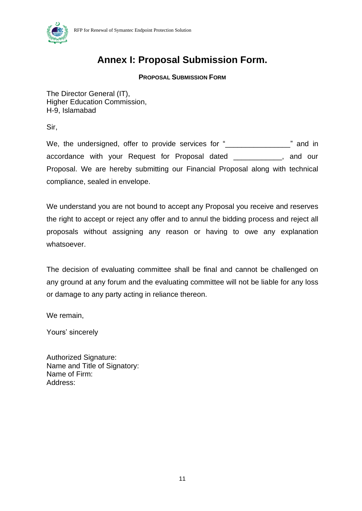

## **Annex I: Proposal Submission Form.**

#### **PROPOSAL SUBMISSION FORM**

The Director General (IT), Higher Education Commission, H-9, Islamabad

Sir,

We, the undersigned, offer to provide services for "<br>
many and in accordance with your Request for Proposal dated \_\_\_\_\_\_\_\_\_\_\_\_, and our Proposal. We are hereby submitting our Financial Proposal along with technical compliance, sealed in envelope.

We understand you are not bound to accept any Proposal you receive and reserves the right to accept or reject any offer and to annul the bidding process and reject all proposals without assigning any reason or having to owe any explanation whatsoever.

The decision of evaluating committee shall be final and cannot be challenged on any ground at any forum and the evaluating committee will not be liable for any loss or damage to any party acting in reliance thereon.

We remain,

Yours' sincerely

Authorized Signature: Name and Title of Signatory: Name of Firm: Address: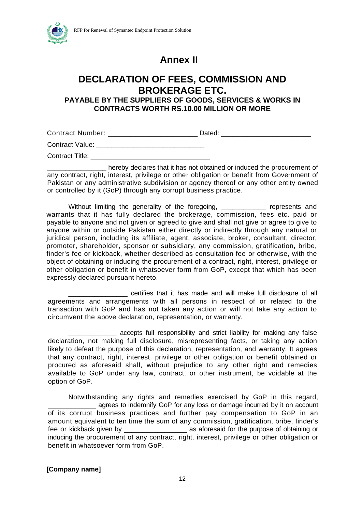



## **Annex II**

## **DECLARATION OF FEES, COMMISSION AND BROKERAGE ETC.**

#### **PAYABLE BY THE SUPPLIERS OF GOODS, SERVICES & WORKS IN CONTRACTS WORTH RS.10.00 MILLION OR MORE**

Contract Number: \_\_\_\_\_\_\_\_\_\_\_\_\_\_\_\_\_\_\_\_\_\_\_\_\_\_\_\_\_\_\_\_ Dated: \_\_\_\_\_\_\_\_\_\_\_\_\_\_\_\_\_\_\_\_\_\_\_

Contract Value: \_\_\_\_\_\_\_\_\_\_\_\_\_\_\_\_\_\_\_\_\_\_\_\_\_\_\_\_\_

Contract Title:

**\_\_\_\_\_\_\_\_\_\_\_\_\_\_\_\_** hereby declares that it has not obtained or induced the procurement of any contract, right, interest, privilege or other obligation or benefit from Government of Pakistan or any administrative subdivision or agency thereof or any other entity owned or controlled by it (GoP) through any corrupt business practice.

Without limiting the generality of the foregoing, \_\_\_\_\_\_\_\_\_\_\_\_\_ represents and warrants that it has fully declared the brokerage, commission, fees etc. paid or payable to anyone and not given or agreed to give and shall not give or agree to give to anyone within or outside Pakistan either directly or indirectly through any natural or juridical person, including its affiliate, agent, associate, broker, consultant, director, promoter, shareholder, sponsor or subsidiary, any commission, gratification, bribe, finder's fee or kickback, whether described as consultation fee or otherwise, with the object of obtaining or inducing the procurement of a contract, right, interest, privilege or other obligation or benefit in whatsoever form from GoP, except that which has been expressly declared pursuant hereto.

\_\_\_\_\_\_\_\_\_\_\_\_\_\_\_\_ certifies that it has made and will make full disclosure of all agreements and arrangements with all persons in respect of or related to the transaction with GoP and has not taken any action or will not take any action to circumvent the above declaration, representation, or warranty.

\_\_\_\_\_\_\_\_\_\_\_\_\_ accepts full responsibility and strict liability for making any false declaration, not making full disclosure, misrepresenting facts, or taking any action likely to defeat the purpose of this declaration, representation, and warranty. It agrees that any contract, right, interest, privilege or other obligation or benefit obtained or procured as aforesaid shall, without prejudice to any other right and remedies available to GoP under any law, contract, or other instrument, be voidable at the option of GoP.

Notwithstanding any rights and remedies exercised by GoP in this regard, agrees to indemnify GoP for any loss or damage incurred by it on account of its corrupt business practices and further pay compensation to GoP in an amount equivalent to ten time the sum of any commission, gratification, bribe, finder's fee or kickback given by **Example 20** as aforesaid for the purpose of obtaining or inducing the procurement of any contract, right, interest, privilege or other obligation or benefit in whatsoever form from GoP.

**[Company name]**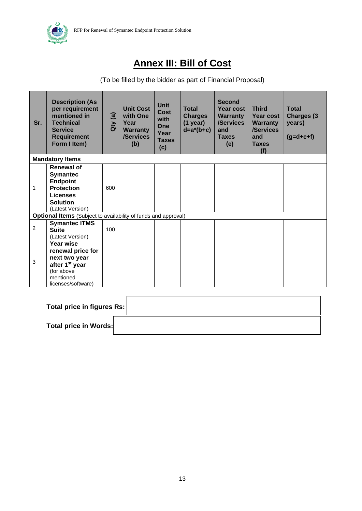

## **Annex III: Bill of Cost**

#### (To be filled by the bidder as part of Financial Proposal)

| Sr.          | <b>Description (As</b><br>per requirement<br>mentioned in<br><b>Technical</b><br><b>Service</b><br><b>Requirement</b><br>Form I Item)  | Qty(a) | <b>Unit Cost</b><br>with One<br>Year<br><b>Warranty</b><br>/Services<br>(b) | <b>Unit</b><br>Cost<br>with<br><b>One</b><br>Year<br><b>Taxes</b><br>(c) | <b>Total</b><br><b>Charges</b><br>$(1$ year)<br>$d=a^*(b+c)$ | <b>Second</b><br>Year cost<br><b>Warranty</b><br>/Services<br>and<br><b>Taxes</b><br>(e) | <b>Third</b><br><b>Year cost</b><br><b>Warranty</b><br>/Services<br>and<br><b>Taxes</b><br>(f) | <b>Total</b><br><b>Charges (3)</b><br>years)<br>$(g= d+e+f)$ |
|--------------|----------------------------------------------------------------------------------------------------------------------------------------|--------|-----------------------------------------------------------------------------|--------------------------------------------------------------------------|--------------------------------------------------------------|------------------------------------------------------------------------------------------|------------------------------------------------------------------------------------------------|--------------------------------------------------------------|
|              | <b>Mandatory Items</b>                                                                                                                 |        |                                                                             |                                                                          |                                                              |                                                                                          |                                                                                                |                                                              |
| 1            | <b>Renewal of</b><br><b>Symantec</b><br><b>Endpoint</b><br><b>Protection</b><br><b>Licenses</b><br><b>Solution</b><br>(Latest Version) | 600    |                                                                             |                                                                          |                                                              |                                                                                          |                                                                                                |                                                              |
|              | <b>Optional Items</b> (Subject to availability of funds and approval)                                                                  |        |                                                                             |                                                                          |                                                              |                                                                                          |                                                                                                |                                                              |
| $\mathbf{2}$ | <b>Symantec ITMS</b><br><b>Suite</b><br>(Latest Version)                                                                               | 100    |                                                                             |                                                                          |                                                              |                                                                                          |                                                                                                |                                                              |
| 3            | <b>Year wise</b><br>renewal price for<br>next two year<br>after 1 <sup>st</sup> year<br>(for above<br>mentioned<br>licenses/software)  |        |                                                                             |                                                                          |                                                              |                                                                                          |                                                                                                |                                                              |

| Total price in figures Rs: |  |
|----------------------------|--|
| Total price in Words:      |  |